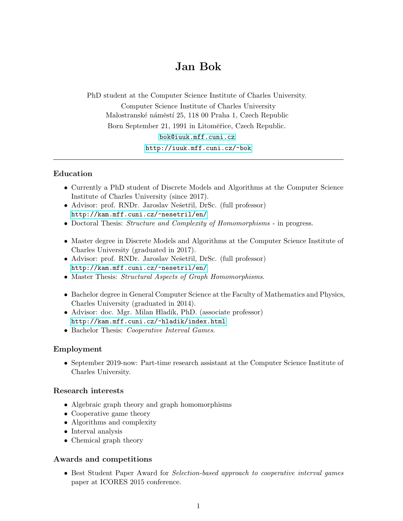# Jan Bok

PhD student at the Computer Science Institute of Charles University.

Computer Science Institute of Charles University Malostranské náměstí 25, 118 00 Praha 1, Czech Republic Born September 21, 1991 in Litoměřice, Czech Republic.

<bok@iuuk.mff.cuni.cz>

<http://iuuk.mff.cuni.cz/~bok>

# Education

- Currently a PhD student of Discrete Models and Algorithms at the Computer Science Institute of Charles University (since 2017).
- Advisor: prof. RNDr. Jaroslav Nešetřil, DrSc. (full professor) <http://kam.mff.cuni.cz/~nesetril/en/>
- Doctoral Thesis: Structure and Complexity of Homomorphisms in progress.
- Master degree in Discrete Models and Algorithms at the Computer Science Institute of Charles University (graduated in 2017).
- Advisor: prof. RNDr. Jaroslav Nešetřil, DrSc. (full professor) <http://kam.mff.cuni.cz/~nesetril/en/>
- Master Thesis: Structural Aspects of Graph Homomorphisms.
- Bachelor degree in General Computer Science at the Faculty of Mathematics and Physics, Charles University (graduated in 2014).
- Advisor: doc. Mgr. Milan Hladík, PhD. (associate professor) <http://kam.mff.cuni.cz/~hladik/index.html>
- Bachelor Thesis: Cooperative Interval Games.

# Employment

• September 2019-now: Part-time research assistant at the Computer Science Institute of Charles University.

# Research interests

- Algebraic graph theory and graph homomorphisms
- Cooperative game theory
- Algorithms and complexity
- Interval analysis
- Chemical graph theory

# Awards and competitions

• Best Student Paper Award for Selection-based approach to cooperative interval games paper at ICORES 2015 conference.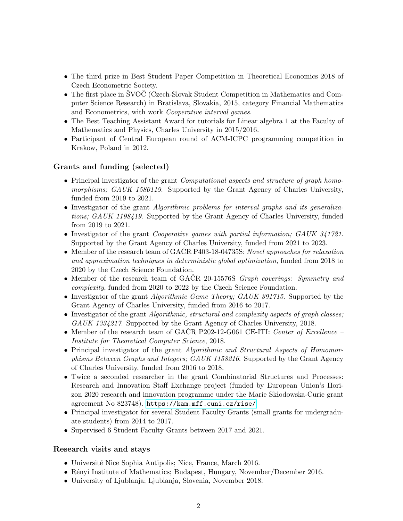- The third prize in Best Student Paper Competition in Theoretical Economics 2018 of Czech Econometric Society.
- The first place in SVOC (Czech-Slovak Student Competition in Mathematics and Computer Science Research) in Bratislava, Slovakia, 2015, category Financial Mathematics and Econometrics, with work Cooperative interval games.
- The Best Teaching Assistant Award for tutorials for Linear algebra 1 at the Faculty of Mathematics and Physics, Charles University in 2015/2016.
- Participant of Central European round of ACM-ICPC programming competition in Krakow, Poland in 2012.

# Grants and funding (selected)

- Principal investigator of the grant *Computational aspects and structure of graph homo*morphisms; GAUK 1580119. Supported by the Grant Agency of Charles University, funded from 2019 to 2021.
- Investigator of the grant *Algorithmic problems for interval graphs and its generaliza*tions; GAUK 1198419. Supported by the Grant Agency of Charles University, funded from 2019 to 2021.
- Investigator of the grant *Cooperative games with partial information; GAUK 341721*. Supported by the Grant Agency of Charles University, funded from 2021 to 2023.
- Member of the research team of GACR P403-18-04735S: Novel approaches for relaxation and approximation techniques in deterministic global optimization, funded from 2018 to 2020 by the Czech Science Foundation.
- Member of the research team of GACR 20-15576S *Graph coverings: Symmetry and* complexity, funded from 2020 to 2022 by the Czech Science Foundation.
- Investigator of the grant *Algorithmic Game Theory; GAUK 391715*. Supported by the Grant Agency of Charles University, funded from 2016 to 2017.
- Investigator of the grant *Algorithmic, structural and complexity aspects of graph classes*; GAUK 1334217. Supported by the Grant Agency of Charles University, 2018.
- Member of the research team of GACR P202-12-G061 CE-ITI: Center of Excellence Institute for Theoretical Computer Science, 2018.
- Principal investigator of the grant *Algorithmic and Structural Aspects of Homomor*phisms Between Graphs and Integers; GAUK 1158216. Supported by the Grant Agency of Charles University, funded from 2016 to 2018.
- Twice a seconded researcher in the grant Combinatorial Structures and Processes: Research and Innovation Staff Exchange project (funded by European Union's Horizon 2020 research and innovation programme under the Marie Skłodowska-Curie grant agreement No 823748). <https://kam.mff.cuni.cz/rise/>
- Principal investigator for several Student Faculty Grants (small grants for undergraduate students) from 2014 to 2017.
- Supervised 6 Student Faculty Grants between 2017 and 2021.

# Research visits and stays

- Université Nice Sophia Antipolis; Nice, France, March 2016.
- Rényi Institute of Mathematics; Budapest, Hungary, November/December 2016.
- University of Ljublanja; Ljublanja, Slovenia, November 2018.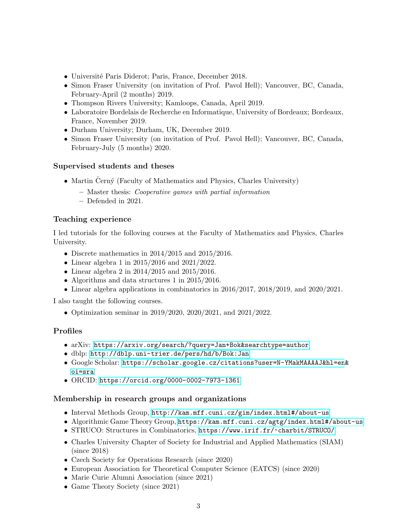- Université Paris Diderot; Paris, France, December 2018.
- Simon Fraser University (on invitation of Prof. Pavol Hell); Vancouver, BC, Canada, February-April (2 months) 2019.
- Thompson Rivers University; Kamloops, Canada, April 2019.
- Laboratoire Bordelais de Recherche en Informatique, University of Bordeaux; Bordeaux, France, November 2019.
- Durham University; Durham, UK, December 2019.
- Simon Fraser University (on invitation of Prof. Pavol Hell); Vancouver, BC, Canada, February-July (5 months) 2020.

# Supervised students and theses

- Martin Černý (Faculty of Mathematics and Physics, Charles University)
	- Master thesis: Cooperative games with partial information
	- Defended in 2021.

# Teaching experience

I led tutorials for the folloving courses at the Faculty of Mathematics and Physics, Charles University.

- Discrete mathematics in 2014/2015 and 2015/2016.
- Linear algebra 1 in 2015/2016 and 2021/2022.
- Linear algebra 2 in 2014/2015 and 2015/2016.
- Algorithms and data structures 1 in 2015/2016.
- Linear algebra applications in combinatorics in 2016/2017, 2018/2019, and 2020/2021.

I also taught the following courses.

• Optimization seminar in 2019/2020, 2020/2021, and 2021/2022.

# Profiles

- arXiv: <https://arxiv.org/search/?query=Jan+Bok&searchtype=author>
- dblp: <http://dblp.uni-trier.de/pers/hd/b/Bok:Jan>
- Google Scholar: [https://scholar.google.cz/citations?user=N-YMakMAAAAJ&hl=en](https://scholar.google.cz/citations?user=N-YMakMAAAAJ&hl=en&oi=sra)& [oi=sra](https://scholar.google.cz/citations?user=N-YMakMAAAAJ&hl=en&oi=sra)
- ORCID: <https://orcid.org/0000-0002-7973-1361>

# Membership in research groups and organizations

- Interval Methods Group, <http://kam.mff.cuni.cz/gim/index.html#/about-us>
- Algorithmic Game Theory Group, <https://kam.mff.cuni.cz/agtg/index.html#/about-us>
- STRUCO: Structures in Combinatorics, <https://www.irif.fr/~charbit/STRUCO/>
- Charles University Chapter of Society for Industrial and Applied Mathematics (SIAM) (since 2018)
- Czech Society for Operations Research (since 2020)
- European Association for Theoretical Computer Science (EATCS) (since 2020)
- Marie Curie Alumni Association (since 2021)
- Game Theory Society (since 2021)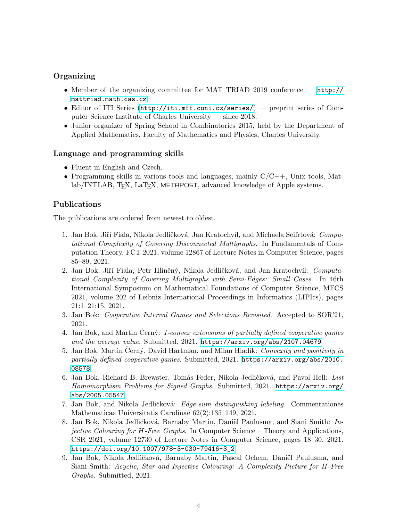# **Organizing**

- Member of the organizing committee for MAT TRIAD 2019 conference [http://](http://mattriad.math.cas.cz) [mattriad.math.cas.cz](http://mattriad.math.cas.cz)
- Editor of ITI Series (<http://iti.mff.cuni.cz/series/>) preprint series of Computer Science Institute of Charles University — since 2018.
- Junior organizer of Spring School in Combinatorics 2015, held by the Department of Applied Mathematics, Faculty of Mathematics and Physics, Charles University.

#### Language and programming skills

- Fluent in English and Czech.
- Programming skills in various tools and languages, mainly  $C/C++$ , Unix tools, Matlab/INTLAB, T<sub>EX</sub>, LaT<sub>EX</sub>, METAPOST, advanced knowledge of Apple systems.

#### Publications

The publications are ordered from newest to oldest.

- 1. Jan Bok, Jiří Fiala, Nikola Jedličková, Jan Kratochvíl, and Michaela Seifrtová: Computational Complexity of Covering Disconnected Multigraphs. In Fundamentals of Computation Theory, FCT 2021, volume 12867 of Lecture Notes in Computer Science, pages 85–89, 2021.
- 2. Jan Bok, Jiří Fiala, Petr Hliněný, Nikola Jedličková, and Jan Kratochvíl: Computational Complexity of Covering Multigraphs with Semi-Edges: Small Cases. In 46th International Symposium on Mathematical Foundations of Computer Science, MFCS 2021, volume 202 of Leibniz International Proceedings in Informatics (LIPIcs), pages 21:1–21:15, 2021.
- 3. Jan Bok: Cooperative Interval Games and Selections Revisited. Accepted to SOR'21, 2021.
- 4. Jan Bok, and Martin Cerny: 1-convex extensions of partially defined cooperative games and the average value. Submitted, 2021. <https://arxiv.org/abs/2107.04679>
- 5. Jan Bok, Martin Černý, David Hartman, and Milan Hladík: Convexity and positivity in partially defined cooperative games. Submitted, 2021. [https://arxiv.org/abs/2010.](https://arxiv.org/abs/2010.08578) [08578](https://arxiv.org/abs/2010.08578)
- 6. Jan Bok, Richard B. Brewster, Tomás Feder, Nikola Jedličková, and Pavol Hell: List Homomorphism Problems for Signed Graphs. Submitted, 2021. [https://arxiv.org/](https://arxiv.org/abs/2005.05547) [abs/2005.05547](https://arxiv.org/abs/2005.05547)
- 7. Jan Bok, and Nikola Jedličková: Edge-sum distinguishing labeling. Commentationes Mathematicae Universitatis Carolinae 62(2):135–149, 2021.
- 8. Jan Bok, Nikola Jedličková, Barnaby Martin, Daniël Paulusma, and Siani Smith: Injective Colouring for H-Free Graphs. In Computer Science – Theory and Applications, CSR 2021, volume 12730 of Lecture Notes in Computer Science, pages 18–30, 2021. [https://doi.org/10.1007/978-3-030-79416-3\\_2](https://doi.org/10.1007/978-3-030-79416-3_2)
- 9. Jan Bok, Nikola Jedličková, Barnaby Martin, Pascal Ochem, Daniël Paulusma, and Siani Smith: Acyclic, Star and Injective Colouring: A Complexity Picture for H-Free Graphs. Submitted, 2021.